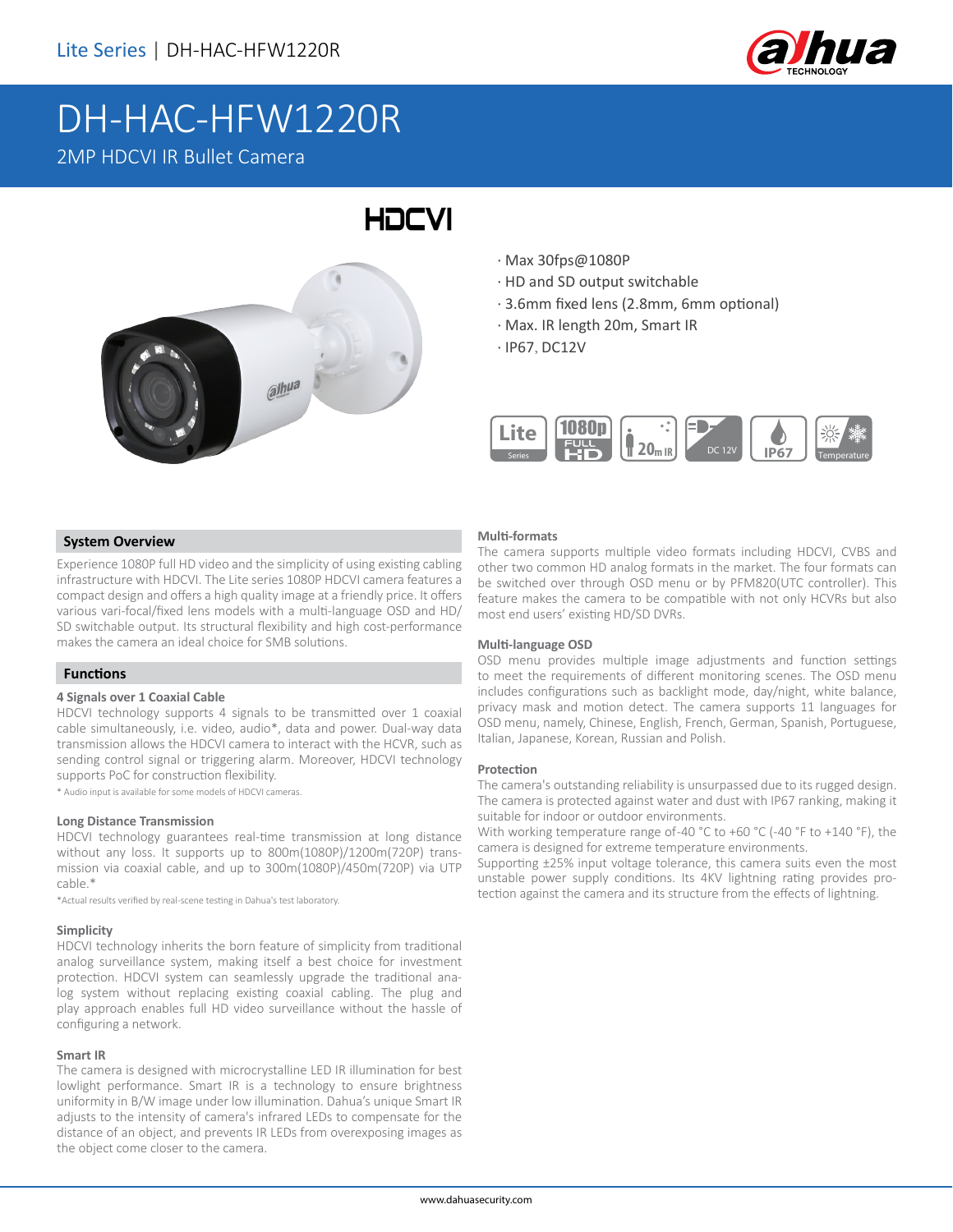

# DH-HAC-HFW1220R 2MP HDCVI IR Bullet Camera

# $abu^a$

- · Max 30fps@1080P
- · HD and SD output switchable
- · 3.6mm fixed lens (2.8mm, 6mm optional)
- · Max. IR length 20m, Smart IR
- · IP67, DC12V

HOCVI



### **System Overview**

Experience 1080P full HD video and the simplicity of using existing cabling infrastructure with HDCVI. The Lite series 1080P HDCVI camera features a compact design and offers a high quality image at a friendly price. It offers various vari-focal/fixed lens models with a multi-language OSD and HD/ SD switchable output. Its structural flexibility and high cost-performance makes the camera an ideal choice for SMB solutions.

### **Functions**

### **4 Signals over 1 Coaxial Cable**

HDCVI technology supports 4 signals to be transmitted over 1 coaxial cable simultaneously, i.e. video, audio\*, data and power. Dual-way data transmission allows the HDCVI camera to interact with the HCVR, such as sending control signal or triggering alarm. Moreover, HDCVI technology supports PoC for construction flexibility.

\* Audio input is available for some models of HDCVI cameras.

### **Long Distance Transmission**

HDCVI technology guarantees real-time transmission at long distance without any loss. It supports up to 800m(1080P)/1200m(720P) transmission via coaxial cable, and up to 300m(1080P)/450m(720P) via UTP cable.\*

\*Actual results verified by real-scene testing in Dahua's test laboratory.

### **Simplicity**

HDCVI technology inherits the born feature of simplicity from traditional analog surveillance system, making itself a best choice for investment protection. HDCVI system can seamlessly upgrade the traditional analog system without replacing existing coaxial cabling. The plug and play approach enables full HD video surveillance without the hassle of configuring a network.

### **Smart IR**

The camera is designed with microcrystalline LED IR illumination for best lowlight performance. Smart IR is a technology to ensure brightness uniformity in B/W image under low illumination. Dahua's unique Smart IR adjusts to the intensity of camera's infrared LEDs to compensate for the distance of an object, and prevents IR LEDs from overexposing images as the object come closer to the camera.

### **Multi-formats**

The camera supports multiple video formats including HDCVI, CVBS and other two common HD analog formats in the market. The four formats can be switched over through OSD menu or by PFM820(UTC controller). This feature makes the camera to be compatible with not only HCVRs but also most end users' existing HD/SD DVRs.

### **Multi-language OSD**

OSD menu provides multiple image adjustments and function settings to meet the requirements of different monitoring scenes. The OSD menu includes configurations such as backlight mode, day/night, white balance, privacy mask and motion detect. The camera supports 11 languages for OSD menu, namely, Chinese, English, French, German, Spanish, Portuguese, Italian, Japanese, Korean, Russian and Polish.

### **Protection**

The camera's outstanding reliability is unsurpassed due to its rugged design. The camera is protected against water and dust with IP67 ranking, making it suitable for indoor or outdoor environments.

With working temperature range of-40 °C to +60 °C (-40 °F to +140 °F), the camera is designed for extreme temperature environments.

Supporting ±25% input voltage tolerance, this camera suits even the most unstable power supply conditions. Its 4KV lightning rating provides protection against the camera and its structure from the effects of lightning.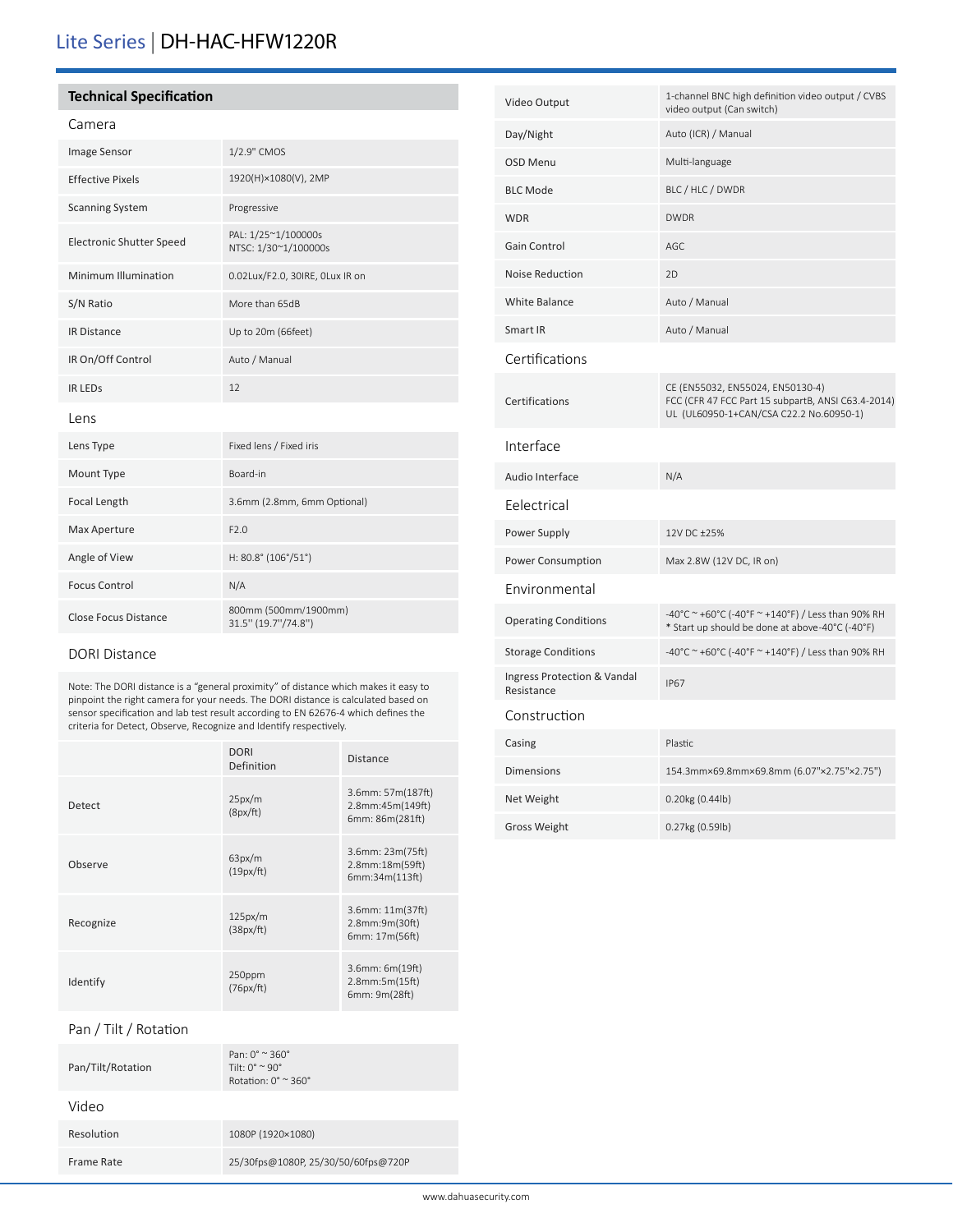# Lite Series | DH-HAC-HFW1220R

### **Technical Specification**

### Camera

| Image Sensor                | 1/2.9" CMOS                                 |  |
|-----------------------------|---------------------------------------------|--|
| <b>Effective Pixels</b>     | 1920(H)×1080(V), 2MP                        |  |
| <b>Scanning System</b>      | Progressive                                 |  |
| Electronic Shutter Speed    | PAL: 1/25~1/100000s<br>NTSC: 1/30~1/100000s |  |
| Minimum Illumination        | 0.02Lux/F2.0, 30IRE, OLux IR on             |  |
| S/N Ratio                   | More than 65dB                              |  |
| <b>IR Distance</b>          | Up to 20m (66feet)                          |  |
| IR On/Off Control           | Auto / Manual                               |  |
| <b>IR LEDS</b>              | 12                                          |  |
| Lens                        |                                             |  |
| Lens Type                   | Fixed lens / Fixed iris                     |  |
| Mount Type                  | Board-in                                    |  |
| Focal Length                | 3.6mm (2.8mm, 6mm Optional)                 |  |
| Max Aperture                | F2.0                                        |  |
| Angle of View               | H: 80.8° (106°/51°)                         |  |
| <b>Focus Control</b>        | N/A                                         |  |
| <b>Close Focus Distance</b> | 800mm (500mm/1900mm)<br>31.5" (19.7"/74.8") |  |

### DORI Distance

Note: The DORI distance is a "general proximity" of distance which makes it easy to pinpoint the right camera for your needs. The DORI distance is calculated based on sensor specification and lab test result according to EN 62676-4 which defines the criteria for Detect, Observe, Recognize and Identify respectively.

|           | <b>DORI</b><br>Definition | <b>Distance</b>                                          |
|-----------|---------------------------|----------------------------------------------------------|
| Detect    | 25px/m<br>(8px/ft)        | 3.6mm: 57m(187ft)<br>2.8mm:45m(149ft)<br>6mm: 86m(281ft) |
| Observe   | 63px/m<br>(19px/ft)       | 3.6mm: 23m(75ft)<br>2.8mm:18m(59ft)<br>6mm:34m(113ft)    |
| Recognize | 125px/m<br>(38px/ft)      | 3.6mm: 11m(37ft)<br>2.8mm:9m(30ft)<br>6mm: 17m(56ft)     |
| Identify  | 250ppm<br>(76px/ft)       | $3.6$ mm: $6m(19ft)$<br>2.8mm:5m(15ft)<br>6mm: 9m(28ft)  |

Pan / Tilt / Rotation

| Pan/Tilt/Rotation | Pan: $0^{\circ}$ $\approx$ 360 $^{\circ}$<br>Tilt: $0^{\circ} \approx 90^{\circ}$<br>Rotation: $0^\circ \approx 360^\circ$ |
|-------------------|----------------------------------------------------------------------------------------------------------------------------|
| Video             |                                                                                                                            |
| Resolution        | 1080P (1920×1080)                                                                                                          |
| Frame Rate        | 25/30fps@1080P, 25/30/50/60fps@720P                                                                                        |

| Video Output                              | 1-channel BNC high definition video output / CVBS<br>video output (Can switch)                                                    |
|-------------------------------------------|-----------------------------------------------------------------------------------------------------------------------------------|
| Day/Night                                 | Auto (ICR) / Manual                                                                                                               |
| <b>OSD Menu</b>                           | Multi-language                                                                                                                    |
| <b>BLC Mode</b>                           | BLC / HLC / DWDR                                                                                                                  |
| <b>WDR</b>                                | <b>DWDR</b>                                                                                                                       |
| Gain Control                              | AGC                                                                                                                               |
| <b>Noise Reduction</b>                    | 2D                                                                                                                                |
| White Balance                             | Auto / Manual                                                                                                                     |
| Smart IR                                  | Auto / Manual                                                                                                                     |
| Certifications                            |                                                                                                                                   |
| Certifications                            | CE (EN55032, EN55024, EN50130-4)<br>FCC (CFR 47 FCC Part 15 subpartB, ANSI C63.4-2014)<br>UL (UL60950-1+CAN/CSA C22.2 No.60950-1) |
| Interface                                 |                                                                                                                                   |
| Audio Interface                           | N/A                                                                                                                               |
| Eelectrical                               |                                                                                                                                   |
| Power Supply                              | 12V DC ±25%                                                                                                                       |
| Power Consumption                         | Max 2.8W (12V DC, IR on)                                                                                                          |
| Environmental                             |                                                                                                                                   |
| <b>Operating Conditions</b>               | -40°C ~ +60°C (-40°F ~ +140°F) / Less than 90% RH<br>* Start up should be done at above-40°C (-40°F)                              |
| <b>Storage Conditions</b>                 | -40°C ~ +60°C (-40°F ~ +140°F) / Less than 90% RH                                                                                 |
| Ingress Protection & Vandal<br>Resistance | <b>IP67</b>                                                                                                                       |
| Construction                              |                                                                                                                                   |
| Casing                                    | Plastic                                                                                                                           |
| <b>Dimensions</b>                         | 154.3mm×69.8mm×69.8mm (6.07"×2.75"×2.75")                                                                                         |
| Net Weight                                | 0.20kg (0.44lb)                                                                                                                   |
| <b>Gross Weight</b>                       | 0.27kg (0.59lb)                                                                                                                   |